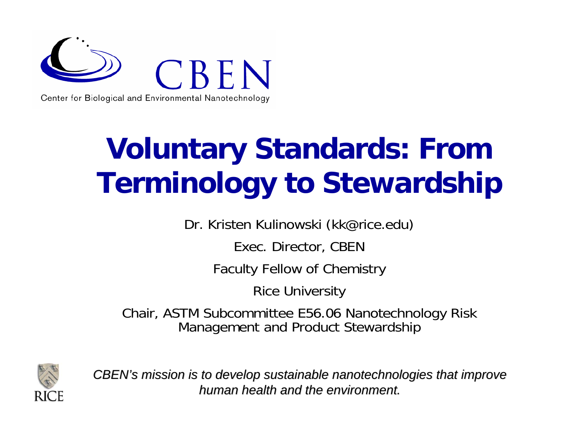

# **Voluntary Standards: From Terminology to Stewardship**

Dr. Kristen Kulinowski (kk@rice.edu)

Exec. Director, CBEN

Faculty Fellow of Chemistry

Rice University

Chair, ASTM Subcommittee E56.06 Nanotechnology Risk Management and Product Stewardship



*CBEN's mission is to develop sustainable nanotechnologies that improve mission is to develop sustainable nanotechnologies that improve human health and the environment. human health and the environment.*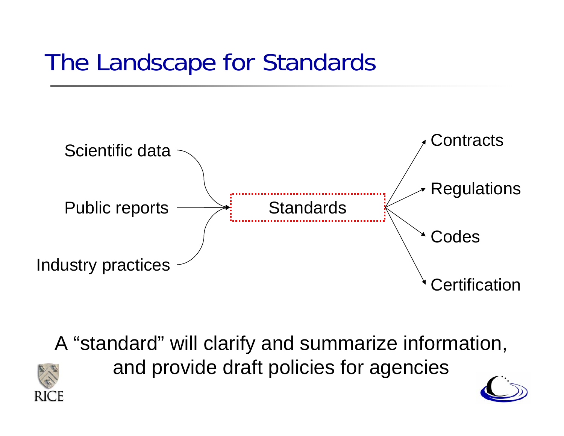### The Landscape for Standards



A "standard" will clarify and summarize information, and provide draft policies for agencies



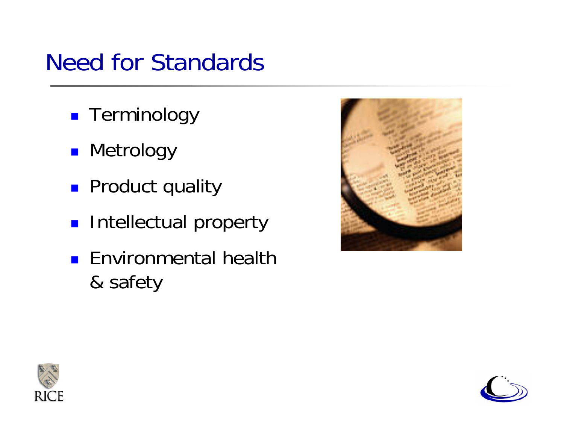### Need for Standards

- **Exerminology**
- **Netrology**
- **Product quality**
- **Intellectual property**
- **E**nvironmental health & safety





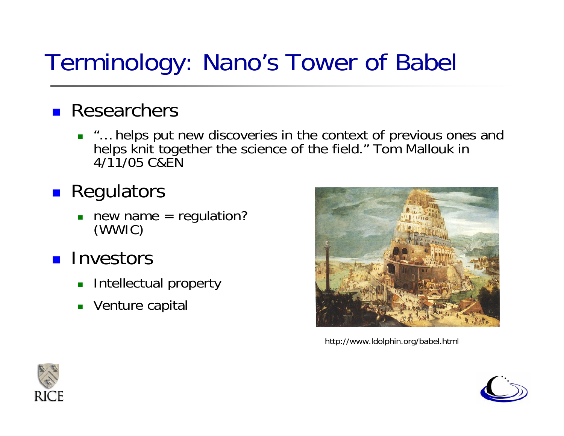### Terminology: Nano's Tower of Babel

### **Researchers**

 $\mathcal{L}_{\text{max}}$  "… helps put new discoveries in the context of previous ones and helps knit together the science of the field." Tom Mallouk in 4/11/05 C&EN

### **Regulators**

- $\overline{\phantom{a}}$ new name = regulation? (WWIC)
- **Investors** 
	- П Intellectual property
	- $\blacksquare$ Venture capital



http://www.ldolphin.org/babel.html



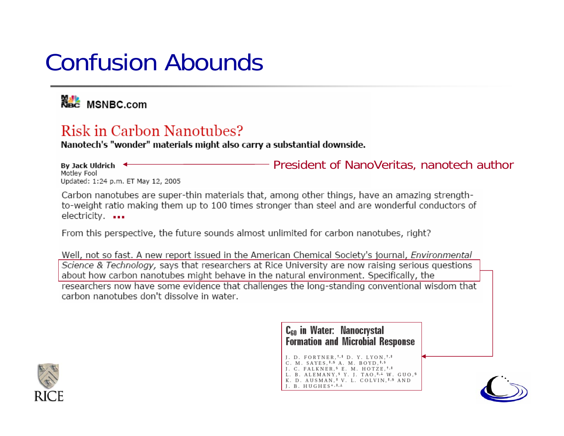### Confusion Abounds

**National MSNBC.com** 

#### Risk in Carbon Nanotubes?

Nanotech's "wonder" materials might also carry a substantial downside.

President of NanoVeritas, nanotech author By Jack Uldrich < Motley Fool Updated: 1:24 p.m. ET May 12, 2005

Carbon nanotubes are super-thin materials that, among other things, have an amazing strengthto-weight ratio making them up to 100 times stronger than steel and are wonderful conductors of **…**

From this perspective, the future sounds almost unlimited for carbon nanotubes, right?

Well, not so fast. A new report issued in the American Chemical Society's journal, *Environmental* Science & Technology, says that researchers at Rice University are now raising serious questions about how carbon nanotubes might behave in the natural environment. Specifically, the researchers now have some evidence that challenges the long-standing conventional wisdom that carbon nanotubes don't dissolve in water.

> C<sub>60</sub> in Water: Nanocrystal **Formation and Microbial Response**

J. D. FORTNER, +, \* D. Y. LYON, +, \* C. M. SAYES, #, 9 A. M. BOYD, #, 9 J. C. FALKNER, <sup>§</sup> E. M. HOTZE,<sup>†,‡</sup> L. B. ALEMANY, 9 Y. J. TAO, 1, 1 W. GUO, 9 K. D. AUSMAN,<sup>‡</sup> V. L. COLVIN,<sup>‡,§</sup> AND  $I. B. HUGHES<sup>*</sup>,<sup>‡</sup>,<sup>⊥</sup>$ 



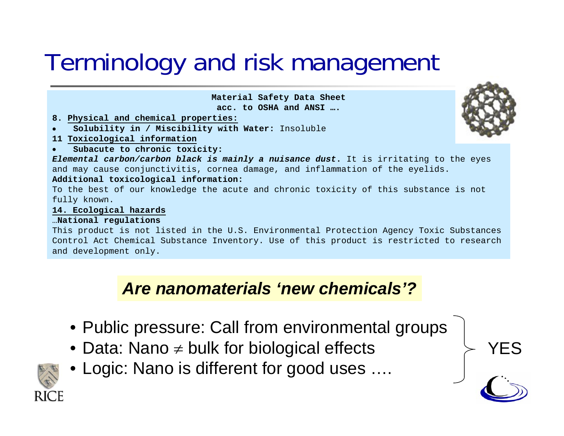### Terminology and risk management

**Material Safety Data Sheet acc. to OSHA and ANSI ….**

- **8. Physical and chemical properties:**
- •**Solubility in / Miscibility with Water:** Insoluble
- **11 Toxicological information**
- •**Subacute to chronic toxicity:**

*Elemental carbon/carbon black is mainly a nuisance dust***.** It is irritating to the eyes and may cause conjunctivitis, cornea damage, and inflammation of the eyelids. **Additional toxicological information:**

To the best of our knowledge the acute and chronic toxicity of this substance is not fully known.

#### **14. Ecological hazards**

#### …**National regulations**

This product is not listed in the U.S. Environmental Protection Agency Toxic Substances Control Act Chemical Substance Inventory. Use of this product is restricted to research and development only.

#### *Are nanomaterials 'new chemicals'?*

- Public pressure: Call from environmental groups
- $\bullet$  Data: Nano  $\neq$  bulk for biological effects
- Logic: Nano is different for good uses ….





YES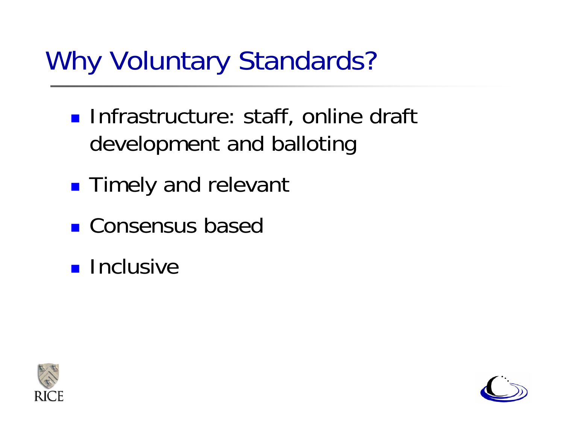## Why Voluntary Standards?

- **Infrastructure: staff, online draft** development and balloting
- **Timely and relevant**
- **Consensus based**
- **Inclusive**



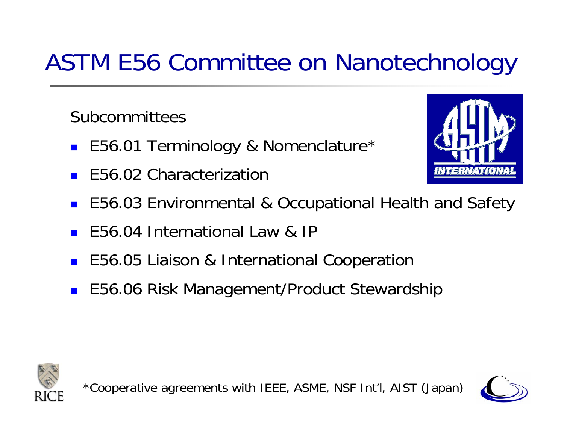### ASTM E56 Committee on Nanotechnology

Subcommittees

- E56.01 Terminology & Nomenclature\*
- Π E56.02 Characterization



- T. E56.03 Environmental & Occupational Health and Safety
- Π E56.04 International Law & IP
- Π E56.05 Liaison & International Cooperation
- E56.06 Risk Management/Product Stewardship





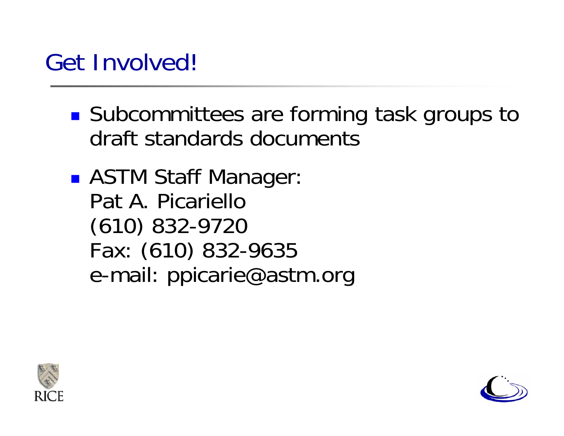### Get Involved!

- ■ Subcommittees are forming task groups to draft standards documents
- ASTM Staff Manager: Pat A. Picariello(610) 832-9720 Fax: (610) 832-9635 e-mail: ppicarie@astm.org



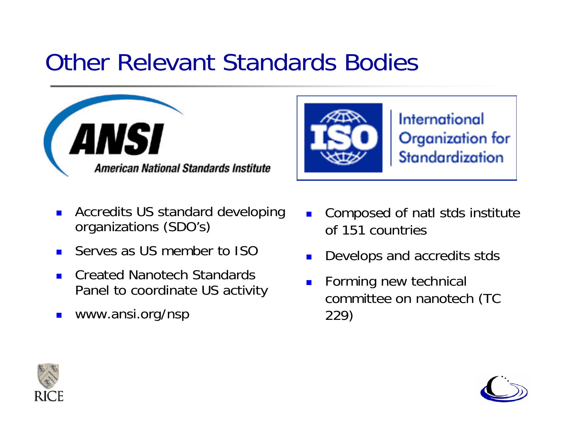### Other Relevant Standards Bodies



- $\blacksquare$  Accredits US standard developing organizations (SDO's)
- $\blacksquare$ Serves as US member to ISO
- $\blacksquare$  Created Nanotech Standards Panel to coordinate US activity
- $\blacksquare$ www.ansi.org/nsp



International Organization for Standardization

- $\blacksquare$  Composed of natl stds institute of 151 countries
- П Develops and accredits stds
- $\mathbf{r}$  Forming new technical committee on nanotech (TC 229)



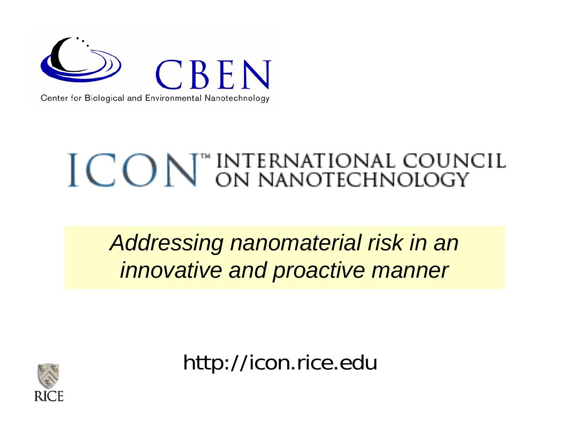

# ICON<sup>®</sup> INTERNATIONAL COUNCIL

*Addressing nanomaterial risk in an innovative and proactive manner*



http://icon.rice.edu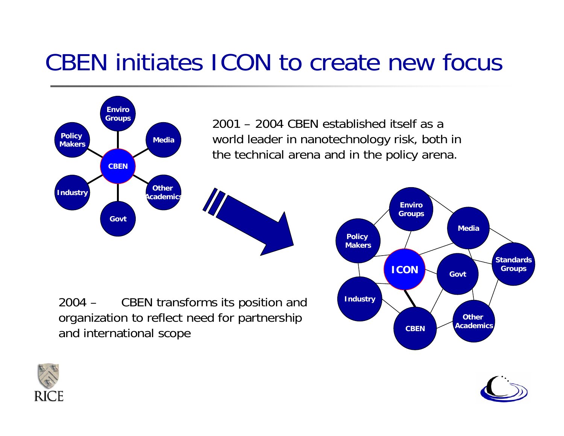### CBEN initiates ICON to create new focus





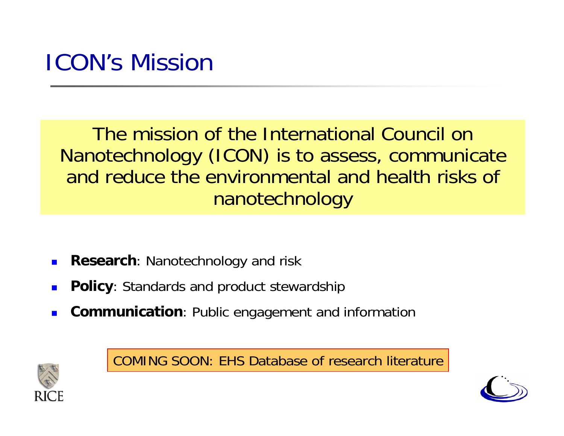### ICON's Mission

The mission of the International Council on Nanotechnology (ICON) is to assess, communicate and reduce the environmental and health risks of nanotechnology

- Г **Research**: Nanotechnology and risk
- Г **Policy**: Standards and product stewardship
- Г **Communication**: Public engagement and information



COMING SOON: EHS Database of research literature

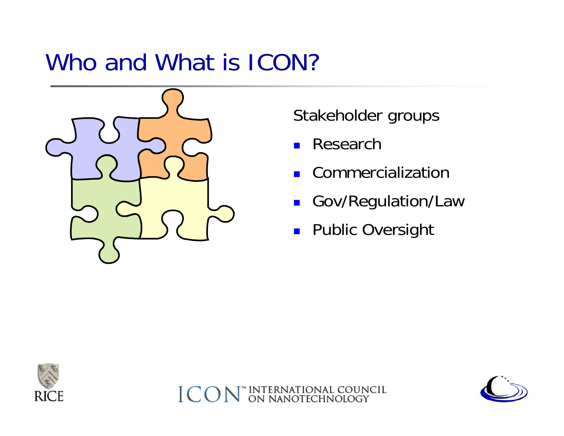### Who and What is ICON?



Stakeholder groups

 $\blacksquare$ Research

INTERNATIONAL COUNCIL<br>ON NANOTECHNOLOGY

- **E** Commercialization
- **Gov/Regulation/Law**
- **Public Oversight**